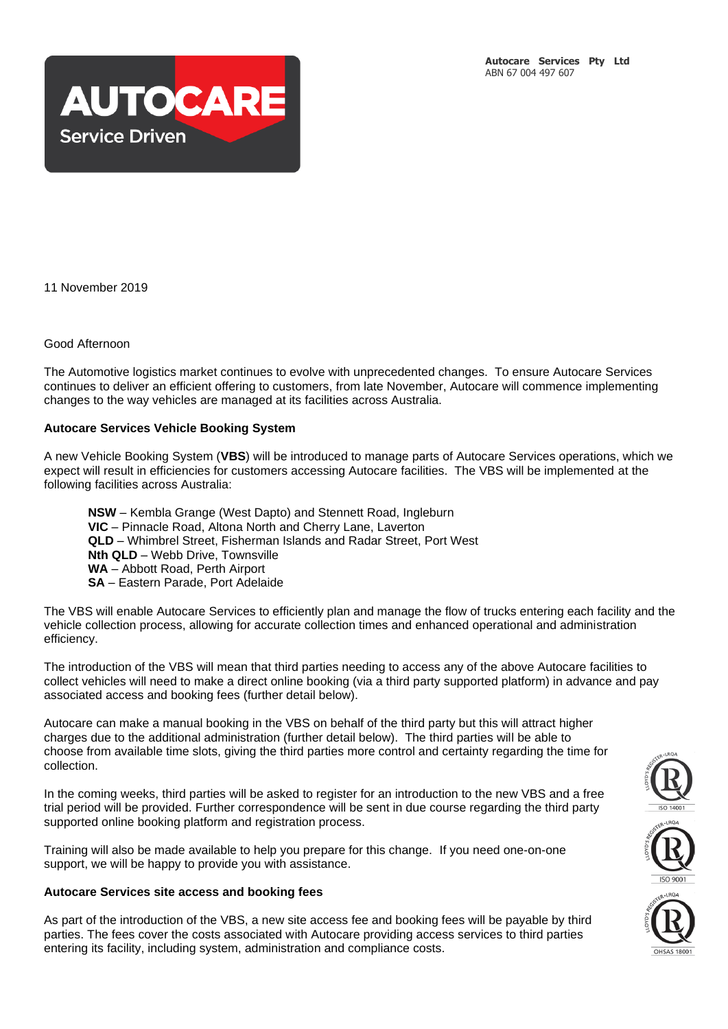

11 November 2019

## Good Afternoon

The Automotive logistics market continues to evolve with unprecedented changes. To ensure Autocare Services continues to deliver an efficient offering to customers, from late November, Autocare will commence implementing changes to the way vehicles are managed at its facilities across Australia.

## **Autocare Services Vehicle Booking System**

A new Vehicle Booking System (**VBS**) will be introduced to manage parts of Autocare Services operations, which we expect will result in efficiencies for customers accessing Autocare facilities. The VBS will be implemented at the following facilities across Australia:

**NSW** – Kembla Grange (West Dapto) and Stennett Road, Ingleburn **VIC** – Pinnacle Road, Altona North and Cherry Lane, Laverton **QLD** – Whimbrel Street, Fisherman Islands and Radar Street, Port West **Nth QLD** – Webb Drive, Townsville **WA** – Abbott Road, Perth Airport **SA** – Eastern Parade, Port Adelaide

The VBS will enable Autocare Services to efficiently plan and manage the flow of trucks entering each facility and the vehicle collection process, allowing for accurate collection times and enhanced operational and administration efficiency.

The introduction of the VBS will mean that third parties needing to access any of the above Autocare facilities to collect vehicles will need to make a direct online booking (via a third party supported platform) in advance and pay associated access and booking fees (further detail below).

Autocare can make a manual booking in the VBS on behalf of the third party but this will attract higher charges due to the additional administration (further detail below). The third parties will be able to choose from available time slots, giving the third parties more control and certainty regarding the time for collection.

In the coming weeks, third parties will be asked to register for an introduction to the new VBS and a free trial period will be provided. Further correspondence will be sent in due course regarding the third party supported online booking platform and registration process.

Training will also be made available to help you prepare for this change. If you need one-on-one support, we will be happy to provide you with assistance.

## **Autocare Services site access and booking fees**

As part of the introduction of the VBS, a new site access fee and booking fees will be payable by third parties. The fees cover the costs associated with Autocare providing access services to third parties entering its facility, including system, administration and compliance costs.